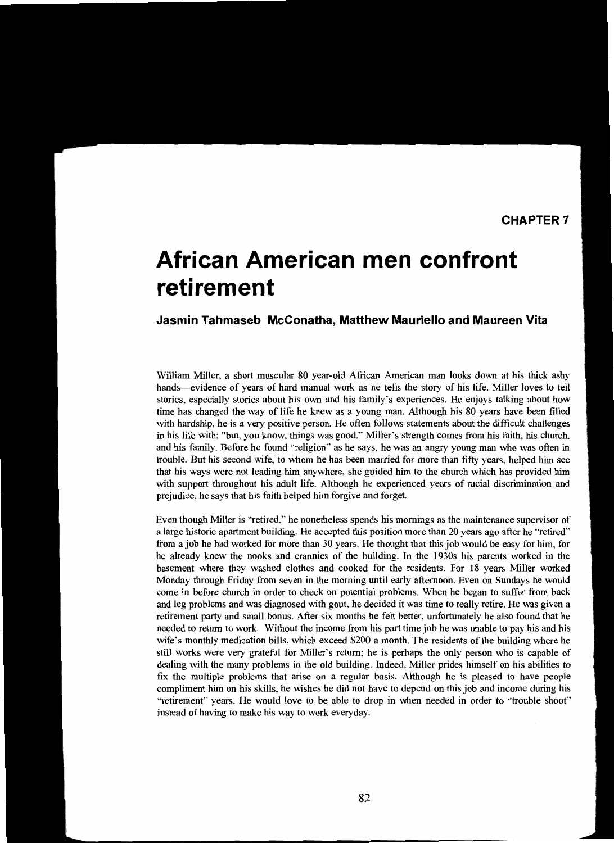# **African American men confront retirement**

## **Jasmin Tahmaseb McConatha, Matthew Mauriello and Maureen Vita**

William Miller, a short muscular 80 year-old African American man looks down at his thick ashy hands—evidence of years of hard manual work as he tells the story of his life. Miller loves to tell stories, especially stories about his own and his family's experiences. He enjoys talking about how time has changed the way of life he knew as a young man. Although his 80 years have been filled with hardship, he is a very positive person. He often follows statements about the difficult challenges in his life with: "but, you know, things was good." Miller's strength comes from his faith, his church. and his family. Before he found "religion" as he says, he was an angry young man who was often in trouble. But his second wife, to whom he has been married for more than fifty years, helped him see that his ways were not leading him anywhere, she guided him to the church which has provided him with support throughout his adult life. Although he experienced years of racial discrimination and prejudice, he says that his faith helped him forgive and forget.

Even though Miller is "retired," he nonetheless spends his mornings as the maintenance supervisor of a large historic apartment building. He accepted this position more than 20 years ago after he "retired" from a job he had worked for more than 30 years. He thought that this job would be easy for him, for he already knew the nooks and crannies of the building. In the 1930s his parents worked in the basement where they washed clothes and cooked for the residents. For 18 years Miller worked Monday through Friday from seven in the morning until early afternoon. Even on Sundays he would come in before church in order to check on potential problems. When he began to suffer from back and leg problems and was diagnosed with gout, he decided it was time to really retire. He was given a retirement party and small bonus. After six months he felt better, unfortunately he also found that he needed to return to work. Without the income from his part time job he was unable to pay his and his wife's monthly medication bills, which exceed \$200 a month. The residents of the building where he still works were very grateful for Miller's return; he is perhaps the only person who is capable of dealing with the many problems in the old building. Indeed, Miller prides himself on his abilities to fix the multiple problems that arise on a regular basis. Although he is pleased to have people compliment him on his skills, he wishes he did not have to depend on this job and income during his "retirement" years. He would love to be able to drop in when needed in order to "trouble shoot" instead of having to make his way to work everyday.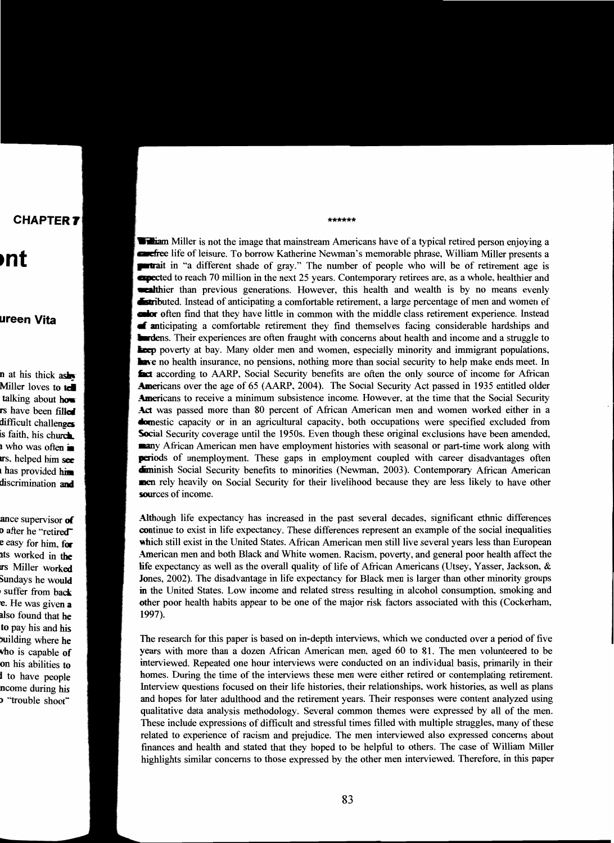## **CHAPTER 7**

## **·nt**

### **ureen Vita**

n at his thick ash Miller loves to tell talking about how rs have been filled difficult challenges is faith, his church **1** who was often **in urs**, helped him see has provided him discrimination and

ance supervisor of **D** after he "retired" e easy for him, for nts worked in the rs Miller worked Sundays he would suffer from back e. He was given a also found that he to pay his and his ouilding where he who is capable of on his abilities to I to have people ncome during his "trouble shoot"

\*\*\*\*\*\*

William Miller is not the image that mainstream Americans have of a typical retired person enjoying a **Example 1** and leisure. To borrow Katherine Newman's memorable phrase, William Miller presents a **number** in "a different shade of gray." The number of people who will be of retirement age is **apected to reach 70 million in the next 25 years. Contemporary retirees are, as a whole, healthier and** -.:aIthier than previous generations. However, this health and wealth is by no means evenly **Estributed.** Instead of anticipating a comfortable retirement, a large percentage of men and women of endor often find that they have little in common with the middle class retirement experience. Instead  $\blacksquare$  anticipating a comfortable retirement they find themselves facing considerable hardships and **Indeed Structure and a struggle to lead to the income and a struggle to lead to the income and a struggle to Leep** poverty at bay. Many older men and women, especially minority and immigrant populations, **Live** no health insurance, no pensions, nothing more than social security to help make ends meet. In **fact** according to AARP, Social Security benefits are often the only source of income for African **Americans over the age of 65 (AARP, 2004). The Social Security Act passed in 1935 entitled older Americans to receive a minimum subsistence income. However, at the time that the Social Security** Act was passed more than 80 percent of African American men and women worked either in a **Exercise** capacity or in an agricultural capacity, both occupations were specified excluded from Social Security coverage until the 1950s. Even though these original exclusions have been amended, nany African American men have employment histories with seasonal or part-time work along with periods of unemployment. These gaps in employment coupled with career disadvantages often **diminish Social Security benefits to minorities (Newman, 2003). Contemporary African American** men rely heavily on Social Security for their livelihood because they are less likely to have other sources of income.

Although life expectancy has increased in the past several decades, significant ethnic differences continue to exist in life expectancy. These differences represent an example of the social inequalities which still exist in the United States. African American men still live several years less than European American men and both Black and White women. Racism, poverty, and general poor health affect the life expectancy as well as the overall quality of life of African Americans (Utsey, Yasser, Jackson,  $\&$ Jones, 2002). The disadvantage in life expectancy for Black men is larger than other minority groups in the United States. Low income and related stress resulting in alcohol consumption, smoking and other poor health habits appear to be one of the major risk factors associated with this (Cockerham, 1997),

The research for this paper is based on in-depth interviews, which we conducted over a period of five years with more than a dozen African American men, aged 60 to 81. The men volunteered to be interviewed. Repeated one hour interviews were conducted on an individual basis, primarily in their homes. During the time of the interviews these men were either retired or contemplating retirement. Interview questions focused on their life histories, their relationships, work histories, as well as plans and hopes for later adulthood and the retirement years. Their responses were content analyzed using qualitative data analysis methodology. Several common themes were expressed by all of the men. These include expressions of difficult and stressful times filled with multiple struggles, many of these related to experience of racism and prejudice. The men interviewed also expressed concerns about fmances and health and stated that they hoped to be helpful to others. The case of William Miller highlights similar concerns to those expressed by the other men interviewed. Therefore, in this paper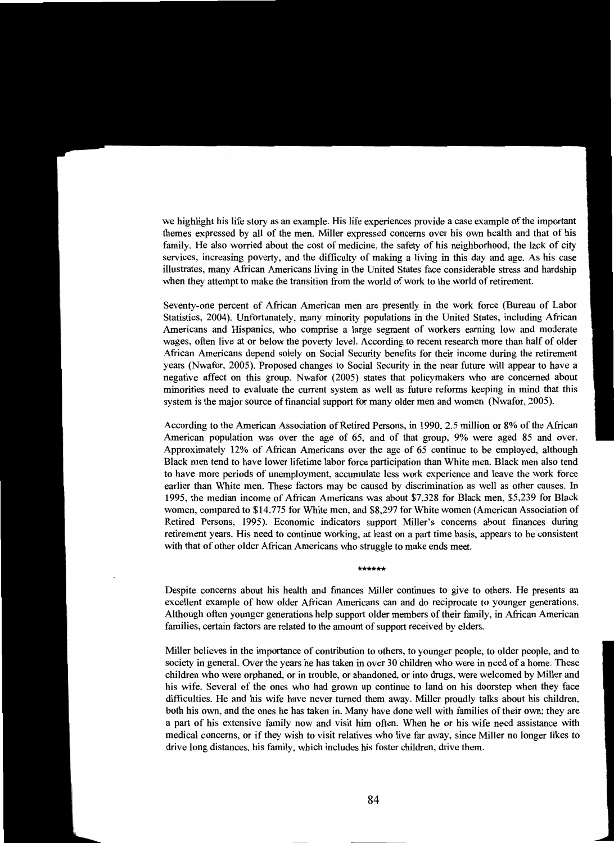we highlight his life story as an example. His life experiences provide a case example of the important themes expressed by all of the men. Miller expressed concerns over his own health and that of his family. He also worried about the cost of medicine, the safety of his neighborhood, the lack of city services, increasing poverty, and the difficulty of making a living in this day and age. As his case illustrates, many African Americans living in the United States face considerable stress and hardship when they attempt to make the transition from the world of work to the world of retirement.

Seventy-one percent of African American men are presently in the work force (Bureau of Labor Statistics. 2004). Unfortunately, many minority populations in the United States, including African Americans and Hispanics, who comprise a large segment of workers earning low and moderate wages, often live at or below the poverty level. According to recent research more than half of older African Americans depend solely on Social Security benefits for their income during the retirement years (Nwafor, 2005). Proposed changes to Social Security in the near future will appear to have a negative affect on this group. Nwafor (2005) states that policymakers who are concerned about minorities need to evaluate the current system as well as future reforms keeping in mind that this system is the major source of financial support for many older men and women (Nwafor, 2005).

According to the American Association of Retired Persons, in 1990,2.5 million or 8% of the African American population was over the age of 65, and of that group, 9% were aged 85 and over. Approximately 12% of African Americans over the age of 65 continue to be employed, although Black men tend to have lower lifetime labor force participation than White men. Black men also tend to have more periods of unemployment, accumulate less work experience and leave the work force earlier than White men. These factors may be caused by discrimination as well as other causes. In 1995, the median income of African Americans was about \$7.328 for Black men, \$5,239 for Black women, compared to \$14,775 for White men, and \$8,297 for White women (American Association of Retired Persons, 1995). Economic indicators support Miller's concerns about fmances during retirement years. His need to continue working, at least on a part time basis, appears to be consistent with that of other older African Americans who struggle to make ends meet.

#### \*\*\*\*\*\*

Despite concerns about his health and fmances Miller continues to give to others. He presents an excellent example of how older African Americans can and do reciprocate to younger generations. Although often younger generations help support older members of their family, in African American families, certain factors are related to the amount of support received by elders.

Miller believes in the importance of contribution to others, to younger people, to older people, and to society in general. Over the years he has taken in over 30 children who were in need of a home. These children who were orphaned, or in trouble, or abandoned, or into drugs, were welcomed by Miller and his wife. Several of the ones who had grown up continue to land on his doorstep when they face difficulties. He and his wife have never turned them away. Miller proudly talks about his children, both his own, and the ones he has taken in. Many have done well with families of their own; they are a part of his extensive family now and visit him often. When he or his wife need assistance with medical concerns, or if they wish to visit relatives who live far away, since Miller no longer likes to drive long distances, his family, which includes his foster children, drive them.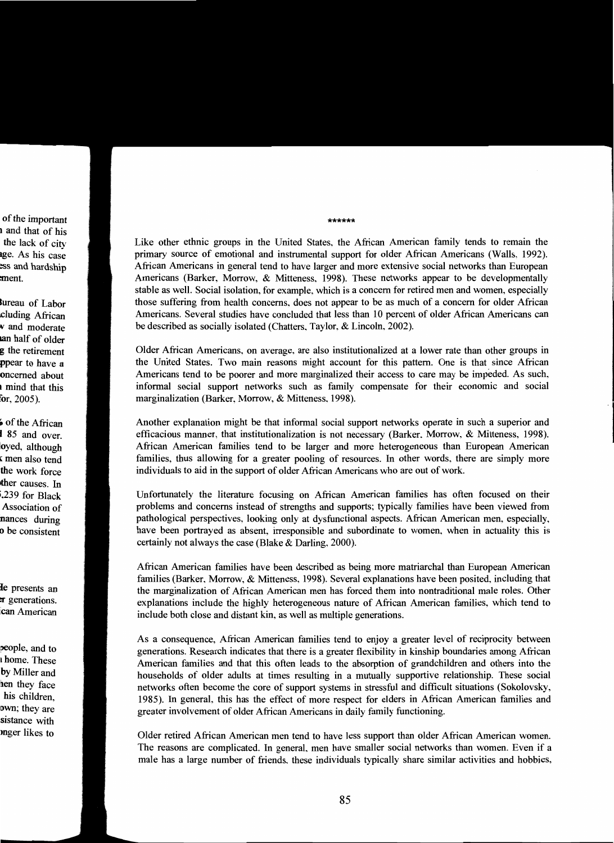of the important 1 and that of his the lack of city age. As his case ess and hardship ment.

Bureau of Labor [cluding African *<sup>v</sup>*and moderate an half of older g the retirement ppear to have a oncerned about <sup>I</sup>mind that this for, 2005).

 $\acute{\bullet}$  of the African I 85 and over. 'oyed. although • men also tend the work force ther causes. In ;.239 for Black Association of nances during **o** be consistent

Ie presents an **T** generations. can American

people, and to I home. These by Miller and hen they face his children, own; they are sistance with mger likes to

Like other ethnic groups in the United States, the African American family tends to remain the primary source of emotional and instrumental support for older African Americans (Walls, 1992). African Americans in general tend to have larger and more extensive social networks than European Americans (Barker, Morrow, & Mitteness. 1998). These networks appear to be developmentally stable as well. Social isolation, for example. which is a concern for retired men and women. especially those suffering from health concerns, does not appear to be as much of a concern for older African Americans. Several studies have concluded that less than 10 percent of older African Americans can be described as socially isolated (Chatters. Taylor, & Lincoln. 2002).

\*\*\*\*\*\*

Older African Americans, on average. are also institutionalized at a lower rate than other groups in the United States. Two main reasons might account for this pattern. One is that since African Americans tend to be poorer and more marginalized their access to care may be impeded. As such, informal social support networks such as family compensate for their economic and social marginalization (Barker, Morrow, & Mitteness, 1998).

Another explanation might be that informal social support networks operate in such a superior and efficacious manner. that institutionalization is not necessary (Barker. Morrow, & Mitteness. 1998). African American families tend to be larger and more heterogeneous than European American families, thus allowing for a greater pooling of resources. In other words. there are simply more individuals to aid in the support of older African Americans who are out of work.

Unfortunately the literature focusing on African American families has often focused on their problems and concerns instead of strengths and supports; typically families have been viewed from pathological perspectives, looking only at dysfunctional aspects. African American men, especially, have been portrayed as absent, irresponsible and subordinate to women. when in actuality this is certainly not always the case (Blake & Darling. 2000).

African American families have been described as being more matriarchal than European American families (Barker. Morrow, & Mitteness, 1998). Several explanations have been posited, including that the marginalization of African American men has forced them into nontraditional male roles. Other explanations include the highly heterogeneous nature of African American families. which tend to include both close and distant kin, as well as multiple generations.

As a consequence, African American families tend to enjoy a greater level of reciprocity between generations. Research indicates that there is a greater flexibility in kinship boundaries among African American families and that this often leads to the absorption of grandchildren and others into the households of older adults at times resulting in a mutually supportive relationship. These social networks often become the core of support systems in stressful and difficult situations (Sokolovsky, 1985). In general. this has the effect of more respect for elders in African American families and greater involvement of older African Americans in daily family functioning.

Older retired African American men tend to have less support than older African American women. The reasons are complicated. In general, men have smaller social networks than women. Even if a male has a large number of friends. these individuals typically share similar activities and hobbies,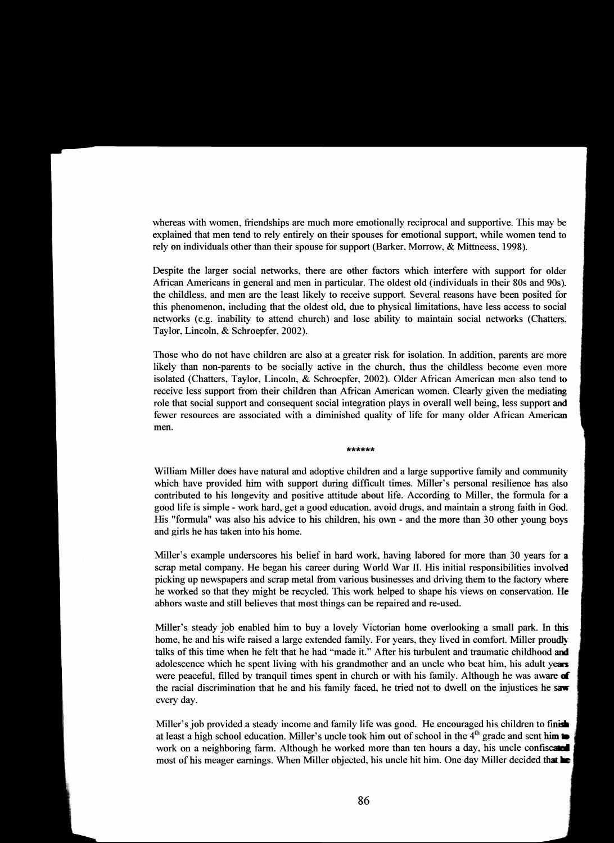whereas with women, friendships are much more emotionally reciprocal and supportive. This may be explained that men tend to rely entirely on their spouses for emotional support, while women tend to rely on individuals other than their spouse for support (Barker, Morrow, & Mittneess, 1998).

Despite the larger social networks, there are other factors which interfere with support for older African Americans in general and men in particular. The oldest old (individuals in their 80s and 90s). the childless, and men are the least likely to receive support. Several reasons have been posited for this phenomenon, including that the oldest old, due to physical limitations, have less access to social networks (e.g. inability to attend church) and lose ability to maintain social networks (Chatters. Taylor, Lincoln, & Schroepfer, 2002).

Those who do not have children are also at a greater risk for isolation. In addition, parents are more likely than non-parents to be socially active in the church, thus the childless become even more isolated (Chatters, Taylor, Lincoln, & Schroepfer, 2002). Older African American men also tend to receive less support from their children than African American women. Clearly given the mediating role that social support and consequent social integration plays in overall well being, less support and fewer resources are associated with a diminished quality of life for many older African American men.

#### \*\*\*\*\*\*

William Miller does have natural and adoptive children and a large supportive family and community which have provided him with support during difficult times. Miller's personal resilience has also contributed to his longevity and positive attitude about life. According to Miller, the formula for a good life is simple - work hard, get a good education, avoid drugs, and maintain a strong faith in God. His "formula" was also his advice to his children, his own - and the more than 30 other young boys and girls he has taken into his home.

Miller's example underscores his belief in hard work, having labored for more than 30 years for a scrap metal company. He began his career during World War II. His initial responsibilities involved picking up newspapers and scrap metal from various businesses and driving them to the factory where he worked so that they might be recycled. This work helped to shape his views on conservation. He abhors waste and still believes that most things can be repaired and re-used.

Miller's steady job enabled him to buy a lovely Victorian home overlooking a small park. In this home, he and his wife raised a large extended family. For years, they lived in comfort. Miller proudly talks of this time when he felt that he had "made it." After his turbulent and traumatic childhood and adolescence which he spent living with his grandmother and an uncle who beat him, his adult years were peaceful, filled by tranquil times spent in church or with his family. Although he was aware of the racial discrimination that he and his family faced, he tried not to dwell on the injustices he saw every day.

Miller's job provided a steady income and family life was good. He encouraged his children to finish at least a high school education. Miller's uncle took him out of school in the  $4<sup>th</sup>$  grade and sent him to work on a neighboring farm. Although he worked more than ten hours a day, his uncle confiscated most of his meager earnings. When Miller objected, his uncle hit him. One day Miller decided that  $\blacksquare$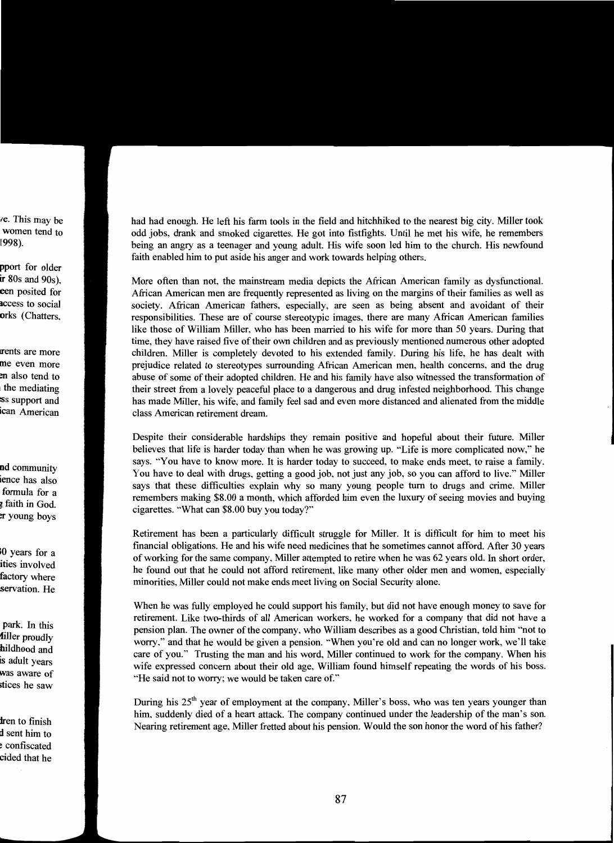ve. This may be women tend to 1998).

pport for older ir 80s and 90s), een posited for access to social orks (Chatters,

the mediating !rents are more me even more en also tend to :ss support and ican American

**nd** community ience has also formula for a **3** faith in God. er young boys

10 years for a ities involved factory where servation. He

park. In this filler proudly bildhood and is adult years was aware of stices he saw

**tren** to finish d sent him to <sup>~</sup>confiscated cided that he had had enough. He left his farm tools in the field and hitchhiked to the nearest big city. Miller took odd jobs, drank and smoked cigarettes. He got into fistfights. Until he met his wife, he remembers being an angry as a teenager and young adult. His wife soon led him to the church. His newfound faith enabled him to put aside his anger and work towards helping others.

More often than not. the mainstream media depicts the African American family as dysfunctional. African American men are frequently represented as living on the margins of their families as well as society. African American fathers, especially, are seen as being absent and avoidant of their responsibilities. These are of course stereotypic images, there are many African American families like those of William Miller, who has been married to his wife for more than 50 years. During that time, they have raised five of their own children and as previously mentioned numerous other adopted children. Miller is completely devoted to his extended family. During his life, he has dealt with prejudice related to stereotypes surrounding African American men, health concerns, and the drug abuse of some of their adopted children. He and his family have also witnessed the transformation of their street from a lovely peaceful place to a dangerous and drug infested neighborhood. This change has made Miller. his wife, and family feel sad and even more distanced and alienated from the middle class American retirement dream.

Despite their considerable hardships they remain positive and hopeful about their future. Miller believes that life is harder today than when he was growing up. "Life is more complicated now:' he says. "You have to know more. It is harder today to succeed, to make ends meet, to raise a family. You have to deal with drugs, getting a good job, not just any job, so you can afford to live." Miller says that these difficulties explain why so many young people tum to drugs and crime. Miller remembers making \$8.00 a month, which afforded him even the luxury of seeing movies and buying cigarettes. "What can \$8.00 buy you today?"

Retirement has been a particularly difficult struggle for Miller. It is difficult for him to meet his fmancial obligations. He and his wife need medicines that he sometimes cannot afford. After 30 years of working for the same company, Miller attempted to retire when he was 62 years old. In short order, he found out that he could not afford retirement. like many other older men and women, especially minorities, Miller could not make ends meet living on Social Security alone.

When he was fully employed he could support his family, but did not have enough money to save for retirement. Like two-thirds of all American workers, he worked for a company that did not have a pension plan. The owner of the company, who William describes as a good Christian, told him "not to worry," and that he would be given a pension. "When you're old and can no longer work, we'll take care of you." Trusting the man and his word., Miller continued to work for the company. When his wife expressed concern about their old age, William found himself repeating the words of his boss. "He said not to worry; we would be taken care of."

During his 25<sup>th</sup> year of employment at the company, Miller's boss, who was ten years younger than him, suddenly died of a heart attack. The company continued under the leadership of the man's son. Nearing retirement age, Miller fretted about his pension. Would the son honor the word of his father?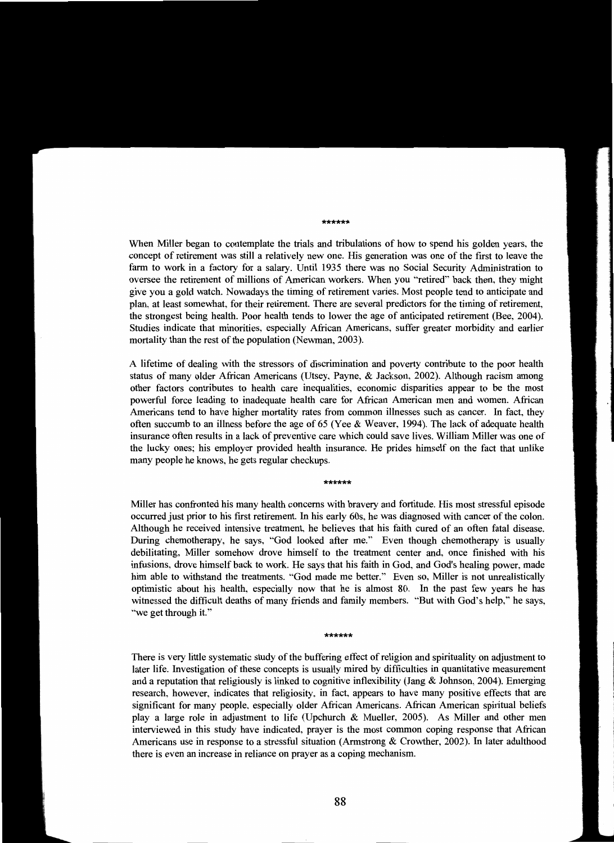#### \*\*\*\*\*\*

When Miller began to contemplate the trials and tribulations of how to spend his golden years, the concept of retirement was still a relatively new one. His generation was one of the first to leave the farm to work in a factory for a salary. Until 1935 there was no Social Security Administration to oversee the retirement of millions of American workers. When you "retired" back then, they might give you a gold watch. Nowadays the timing of retirement varies. Most people tend to anticipate and plan, at least somewhat, for their retirement. There are several predictors for the timing of retirement, the strongest being health. Poor health tends to lower the age of anticipated retirement (Bee, 2004). Studies indicate that minorities, especially African Americans, suffer greater morbidity and earlier mortality than the rest of the population (Newman, 2003).

A lifetime of dealing with the stressors of discrimination and poverty contribute to the poor health status of many older African Americans (Utsey, Payne, & Jackson, 2002). Although racism among other factors contributes to health care inequalities, economic disparities appear to be the most powerful force leading to inadequate health care for African American men and women. African Americans tend to have higher mortality rates from common illnesses such as cancer. In fact, they often succumb to an illness before the age of 65 (Yee & Weaver, 1994). The lack of adequate health insurance often results in a lack of preventive care which could save lives. William Miller was one of the lucky ones; his employer provided health insurance. He prides himself on the fact that unlike many people he knows, he gets regular checkups.

#### \*\*\*\*\*\*

Miller has confronted his many health concerns with bravery and fortitude. His most stressful episode occurred just prior to his fIrst retirement. In his early 60s, he was diagnosed with cancer of the colon. Although he received intensive treatment, he believes that his faith cured of an often fatal disease. During chemotherapy, he says, "God looked after me." Even though chemotherapy is usually debilitating, Miller somehow drove himself to the treatment center and. once fmished with his infusions, drove himself back to work. He says that his faith in God, and God's healing power, made him able to withstand the treatments. "God made me better." Even so, Miller is not unrealistically optimistic about his health, especially now that he is almost 80. In the past few years he has witnessed the difficult deaths of many friends and family members. "But with God's help," he says, "we get through it."

\*\*\*\*\*\*

There is very little systematic study of the buffering effect of religion and spirituality on adjustment to later life. Investigation of these concepts is usually mired by difficulties in quantitative measurement and a reputation that religiously is linked to cognitive inflexibility (Jang & Johnson, 2004). Emerging research, however, indicates that religiosity, in fact, appears to have many positive effects that are significant for many people, especially older African Americans. African American spiritual beliefs play a large role in adjustment to life (Upchurch & Mueller, 2005). As Miller and other men interviewed in this study have indicated, prayer is the most common coping response that African Americans use in response to a stressful situation (Armstrong & Crowther, 2002). In later adulthood there is even an increase in reliance on prayer as a coping mechanism.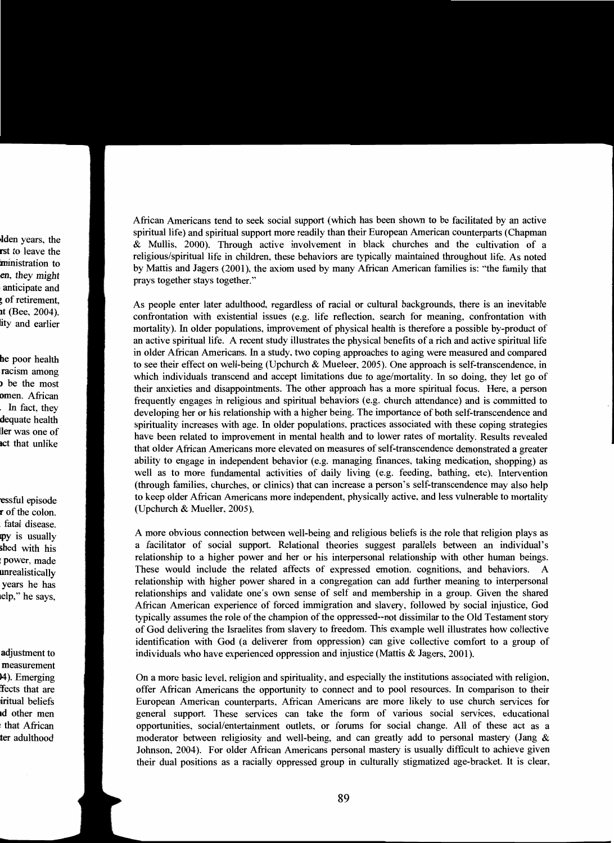lden years, the rst to leave the ministration to en. they might anticipate and <sup>~</sup>of retirement, it (Bee, 2004). lity and earlier

be poor health racism among ) be the most omen. African . In fact. they dequate health ler was one of **act that unlike** 

essful episode r of the colon. fatal disease. py is usually shed with his : power. made unrealistically years he has lelp." he says,

adjustment to measurement 14). Emerging !fects that are liritual beliefs Id other men : that African ter adulthood

African Americans tend to seek social support (which has been shown to be facilitated by an active spiritual life) and spiritual support more readily than their European American counterparts (Chapman & Mullis. 2000). Through active involvement in black churches and the cultivation of a religious/spiritual life in children. these behaviors are typically maintained throughout life. As noted by Mattis and Jagers (2001), the axiom used by many African American families is: "the family that prays together stays together."

As people enter later adulthood. regardless of racial or cultural backgrounds, there is an inevitable confrontation with existential issues (e.g. life reflection, search for meaning, confrontation with mortality). In older populations, improvement of physical health is therefore a possible by-product of an active spiritual life. A recent study illustrates the physical benefits of a rich and active spiritual life in older African Americans. In a study, two coping approaches to aging were measured and compared to see their effect on well-being (Upchurch & Mueleer, 2005). One approach is self-transcendence, in which individuals transcend and accept limitations due to age/mortality. In so doing, they let go of their anxieties and disappointments. The other approach has a more spiritual focus. Here, a person frequently engages in religious and spiritual behaviors (e.g. church attendance) and is committed to developing her or his relationship with a higher being. The importance of both self-transcendence and spirituality increases with age. In older populations, practices associated with these coping strategies have been related to improvement in mental health and to lower rates of mortality. Results revealed that older African Americans more elevated on measures of self-transcendence demonstrated a greater ability to engage in independent behavior (e.g. managing [mances, taking medication, shopping) as well as to more fundamental activities of daily living (e.g. feeding, bathing, etc). Intervention (through families, churches, or clinics) that can increase a person's self-transcendence may also help to keep older African Americans more independent, physically active, and less vulnerable to mortality (Upchurch & Mueller, 2005).

A more obvious connection between well-being and religious beliefs is the role that religion plays as a facilitator of social support. Relational theories suggest parallels between an individual's relationship to a higher power and her or his interpersonal relationship with other human beings. These would include the related affects of expressed emotion, cognitions, and behaviors. A relationship with higher power shared in a congregation can add further meaning to interpersonal relationships and validate one's own sense of self and membership in a group. Given the shared African American experience of forced immigration and slavery, followed by social injustice, God typically assumes the role of the champion of the oppressed--not dissimilar to the Old Testament story of God delivering the Israelites from slavery to freedom. This example well illustrates how collective identification with God (a deliverer from oppression) can give collective comfort to a group of individuals who have experienced oppression and injustice (Mattis & Jagers, 2001).

On a more basic level, religion and spirituality, and especially the institutions associated with religion, offer African Americans the opportunity to connect and to pool resources. In comparison to their European American counterparts, African Americans are more likely to use church services for general support. These services can take the form of various social services, educational opportunities, social/entertainment outlets, or forums for social change. All of these act as a moderator between religiosity and well-being, and can greatly add to personal mastery (Jang  $\&$ Johnson, 2004). For older African Americans personal mastery is usually difficult to achieve given their dual positions as a racially oppressed group in culturally stigmatized age-bracket. It is clear,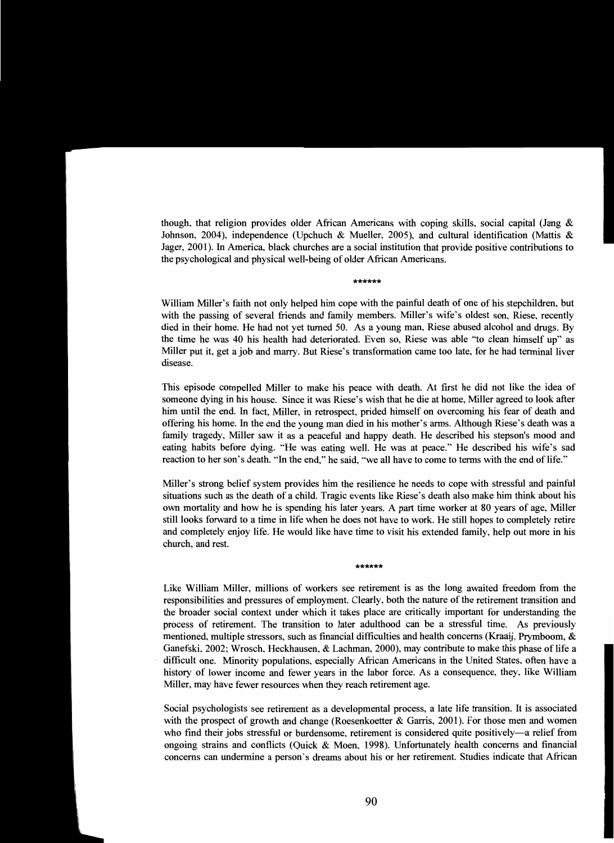though, that religion provides older African Americans with coping skills, social capital (Jang & Johnson, 2004), independence (Upchuch & Mueller, 2005), and cultural identification (Mattis & Jager, 2001). Tn America, black churches are a social institution that provide positive contributions to the psychological and physical well-being of older African Americans.

#### \*\*\*\*\*\*

William Miller's faith not only helped him cope with the painful death of one of his stepchildren, but with the passing of several friends and family members. Miller's wife's oldest son, Riese, recently died in their home. He had not yet turned 50. As a young man, Riese abused alcohol and drugs. By the time he was 40 his health had deteriorated. Even so, Riese was able "to clean himself up" as Miller put it, get a job and marry. But Riese's transformation came too late, for he had terminal liver disease.

This episode compelled Miller to make his peace with death. At first he did not like the idea of someone dying in his house. Since it was Riese's wish that he die at home, Miller agreed to look after him until the end. In fact, Miller, in retrospect, prided himself on overcoming his fear of death and offering his home. Tn the end the young man died in his mother's arms. Although Riese's death was a family tragedy, Miller saw it as a peaceful and happy death. He described his stepson's mood and eating habits before dying. "He was eating well. He was at peace." He described his wife's sad reaction to her son's death. "In the end," he said, "we all have to come to terms with the end of life."

Miller's strong belief system provides him the resilience he needs to cope with stressful and painful situations such as the death of a child. Tragic events like Riese's death also make him think about his own mortality and how he is spending his later years. A part time worker at 80 years of age, Miller still looks forward to a time in life when he does not have to work. He still hopes to completely retire and completely enjoy life. He would like have time to visit his extended family, help out more in his church, and rest.

\*\*\*\*\*\*

Like William Miller, millions of workers see retirement is as the long awaited freedom from the responsibilities and pressures of employment. Clearly, both the nature of the retirement transition and the broader social context under which it takes place are critically important for understanding the process of retirement. The transition to later adulthood can be a stressful time. As previously mentioned, multiple stressors, such as fmancial difficulties and health concerns (Kraaij, Prymboom, & Ganefski, 2002; Wrosch, Heckhausen, & Lachman, 2000), may contribute to make this phase of life a difficult one. Minority populations, especially African Americans in the United States, often have a history of lower income and fewer years in the labor force. As a consequence, they, like William Miller, may have fewer resources when they reach retirement age.

Social psychologists see retirement as a developmental process, a late life transition. It is associated with the prospect of growth and change (Roesenkoetter & Garris, 2001). For those men and women who find their jobs stressful or burdensome, retirement is considered quite positively-a relief from ongoing strains and conflicts (Quick & Moen, 1998). Unfortunately health concerns and fmancial concerns can undermine a person's dreams about his or her retirement. Studies indicate that African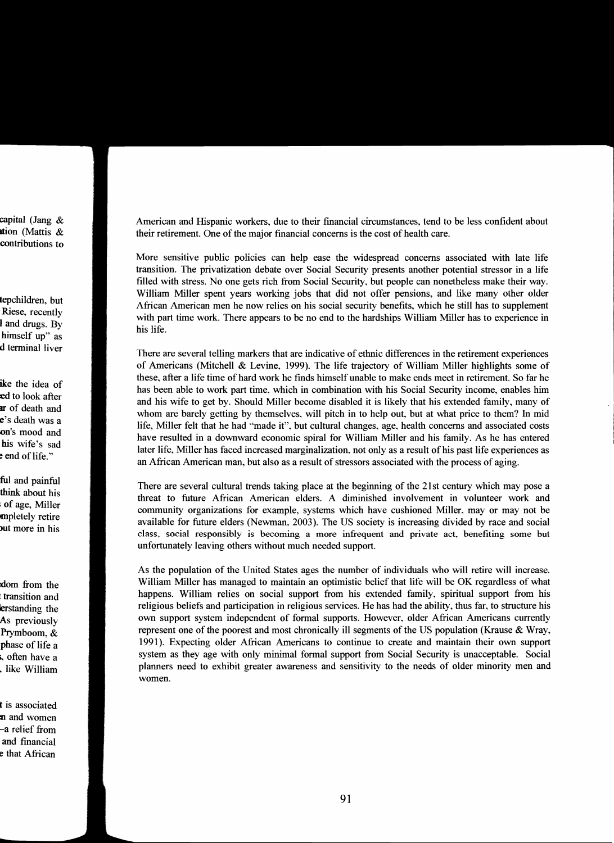capital (Jang & ltion (Mattis & contributions to

tepchildren, but Riese, recently I and drugs. By himself up" as d terminal liver

ike the idea of ed to look after ar of death and <sup>e</sup>'s death was a on's mood and his wife's sad e end of life."

ful and painful think about his of age, Miller mpletely retire but more in his

:dom from the : transition and lerstanding the As previously Prymboom, & phase of life a ... often have a . like William

t is associated :n and women -a relief from and financial e that African

American and Hispanic workers, due to their fmancial circumstances. tend to be less confident about their retirement. One of the major fmancial concerns is the cost of health care.

More sensitive public policies can help ease the widespread concerns associated with late life transition. The privatization debate over Social Security presents another potential stressor in a life filled with stress. No one gets rich from Social Security. but people can nonetheless make their way. William Miller spent years working jobs that did not offer pensions, and like many other older African American men he now relies on his social security benefits, which he still has to supplement with part time work. There appears to be no end to the hardships William Miller has to experience in his life.

There are several telling markers that are indicative of ethnic differences in the retirement experiences of Americans (Mitchell & Levine. 1999). The life trajectory of William Miller highlights some of these. after a life time of hard work he fmds himself unable to make ends meet in retirement. So far he has been able to work part time. which in combination with his Social Security income, enables him and his wife to get by. Should Miller become disabled it is likely that his extended family, many of whom are barely getting by themselves. will pitch in to help out, but at what price to them? In mid life, Miller felt that he had '"made it". but cultural changes. age. health concerns and associated costs have resulted in a downward economic spiral for William Miller and his family. As he has entered later life, Miller has faced increased marginalization. not only as a result of his past life experiences as an African American man, but also as a result of stressors associated with the process of aging.

There are several cultural trends taking place at the beginning of the 21st century which may pose a threat to future African American elders. A diminished involvement in volunteer work and community organizations for example, systems which have cushioned Miller. mayor may not be available for future elders (Newman. 2003). The US society is increasing divided by race and social class, social responsibly is becoming a more infrequent and private act, benefiting some but unfortunately leaving others without much needed support.

As the population of the United States ages the number of individuals who will retire will increase. William Miller has managed to maintain an optimistic belief that life will be OK regardless of what happens. William relies on social support from his extended family, spiritual support from his religious beliefs and participation in religious services. He has had the ability, thus far, to structure his own support system independent of fonnal supports. However. older African Americans currently represent one of the poorest and most chronically ill segments of the US population (Krause & Wray, 1991). Expecting older African Americans to continue to create and maintain their own support system as they age with only minimal fonnal support from Social Security is unacceptable. Social planners need to exhibit greater awareness and sensitivity to the needs of older minority men and women.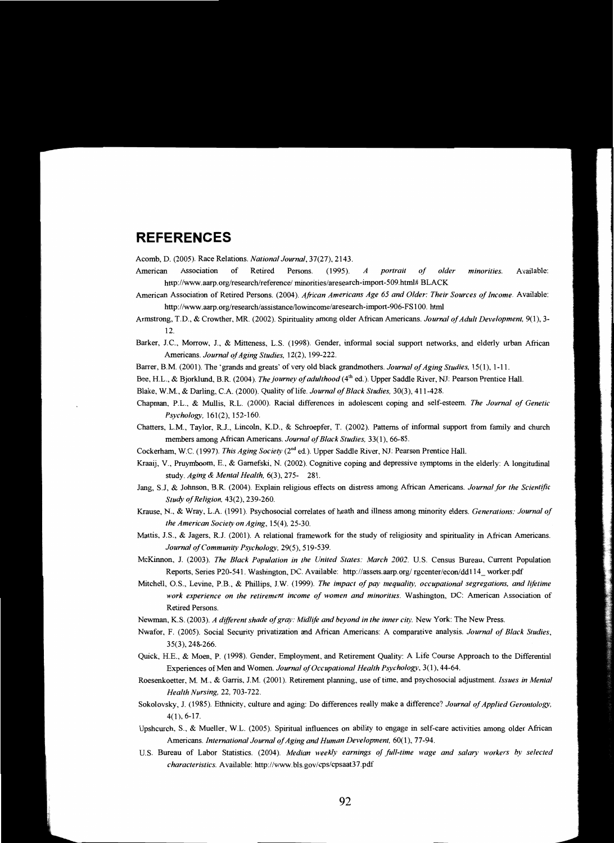## **REFERENCES**

Acomb, D. (2005). Race Relations. *National Journal,* 37(27), 2143.

- American Association of Retired Persons. (1995) *A portrait of older minorities.* Available: http://www.aarp.org/research/reference/ minorities/aresearch-import-509.html# BLACK
- American Association of Retired Persons. (2004). *African Americans Age* 65 *and Older: Their Sources of Income.* Available: http://www.aarp.org/research/assistance/lowincome/aresearch-import-906-FS100. html
- Armstrong, T.D., & Crowther, MR. (2002). Spirituality among older African Americans. *Journal ofAdult Development,* 9(1),3 12.
- Barker, J.e., Morrow, J., & Mitteness, L.S. (1998). Gender, informal social support networks, and elderly urban African Americans. *Journal of Aging Studies*, 12(2), 199-222.
- Barrer, B.M. (2001). The 'grands and greats' of very old black grandmothers. *Journal of Aging Studies*, 15(1), 1-11.
- Bee, H.L., & Bjorklund, B.R. (2004). *The journey of adulthood* (4<sup>th</sup> ed.). Upper Saddle River, NJ: Pearson Prentice Hall.

Blake, W.M., & Darling, C.A. (2000). Quality of life. *Journal of Black Studies*, 30(3), 411-428.

- Chapman, P.L., & Mullis, R.L. (2000). Racial differences in adolescent coping and self-esteem. *The Journal of Genetic Psychology,* 161(2),152-160.
- Chatters, L.M., Taylor, R.J., Lincoln, K.D., & Schroepfer, T. (2002). Patterns of informal support from family and church members among African Americans. *Journal of Black Studies*, 33(1), 66-85.
- Cockerham, W.C. (1997). This Aging Society (2<sup>nd</sup> ed.). Upper Saddle River, NJ: Pearson Prentice Hall.
- Kraaij, V., Pruymboom, E., & Garnefski, N. (2002). Cognitive coping and depressive symptoms in the elderly: A longitudinal study. *Aging* & *Mental Health,* 6(3),275- 281.
- Jang, S.J, & Johnson, B.R (2004). Explain religious effects on distress among African Americans. *Journal for the Scientific Study ofReligion,* 43(2),239-260.
- Krause, N., & Wray, L.A. (1991). Psychosocial correlates of heath and illness among minority elders. *Generations: Journal of the American SOCiety on Aging,* IS(4), 2S-30.
- Mattis, J.S., & Jagers, R.J. (2001). A relational framework for the study of religiosity and spirituality in African Americans. *Journal ofCommunity Psychology,* 29(S), SI9-S39.
- McKinnon, J. (2003). *The Black Population in the United States: March 2002.* U.S. Census Bureau, Current Population Reports, Series P20-541. Washington, DC. Available: http://assets.aarp.org/rgcenter/econ/dd114\_worker.pdf
- Mitchell, O.S., Levine, P.B., & Phillips, J.W. (1999). *The impact of pay inequality, occupational segregations, and lifetime work experience on the retirement income (if women and minorities.* Washington, DC: American Association of Retired Persons.
- Newman, K.S. (2003). *A different shade of gray: Midlife and beyond in the inner city.* New York: The New Press.
- Nwafor, F. (200S). Social Security privatization and African Americans: A comparative analysis. *Journal of Black Studies,*  35(3),248-266.
- Quick, H.E., & Moen, P. (1998). Gender, Employment, and Retirement Quality: A Life Course Approach to the Differential Experiences of Men and Women. *Journal qfOccupational Health Psychology,* 3(1), 44-64.
- Roesenkoetter, M. M., & Garris, J.M. (2001). Retirement planning, use of time, and psychosocial adjustment. *Issues in Mental Health Nursing,* 22, 703-722.
- Sokolovsky, J. (1985). Ethnicity, culture and aging: Do differences really make a difference? *Journal of Applied Gerontology*, 4(1),6-17.
- Upshcurch, S., & Mueller, W.L. (200S). Spiritual influences on ability to engage in self-care activities among older African Americans. *International Journal of Aging and Human Development,* 60(1), 77-94.
- U.S. Bureau of Labor Statistics. (2004). *Median weekly earnings of full-time wage and salary workers by selected characteristics.* Available: http://www. bls.gov /cps/cpsaat3 7.pdf